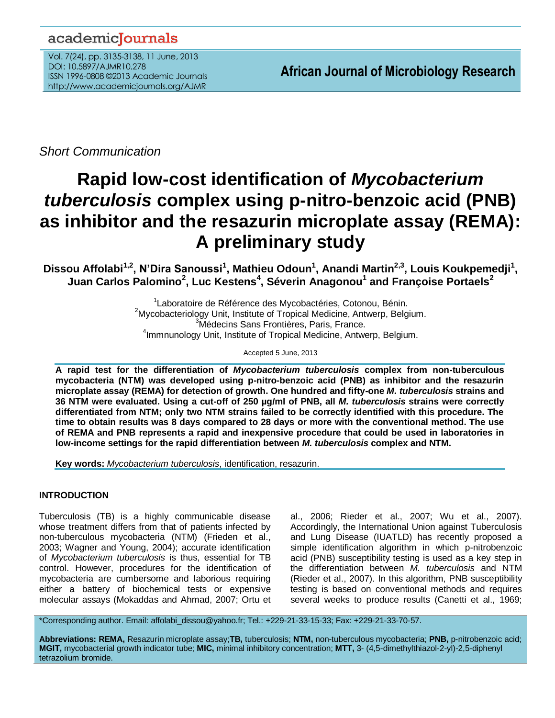# academicJournals

Vol. 7(24), pp. 3135-3138, 11 June, 2013 DOI: 10.5897/AJMR10.278 ISSN 1996-0808 ©2013 Academic Journals http://www.academicjournals.org/AJMR

*Short Communication*

# **Rapid low-cost identification of** *Mycobacterium tuberculosis* **complex using p-nitro-benzoic acid (PNB) as inhibitor and the resazurin microplate assay (REMA): A preliminary study**

**Dissou Affolabi1,2 , N'Dira Sanoussi<sup>1</sup> , Mathieu Odoun<sup>1</sup> , Anandi Martin2,3 , Louis Koukpemedji<sup>1</sup> , Juan Carlos Palomino<sup>2</sup> , Luc Kestens<sup>4</sup> , Séverin Anagonou<sup>1</sup> and Françoise Portaels<sup>2</sup>**

> <sup>1</sup> Laboratoire de Référence des Mycobactéries, Cotonou, Bénin.  $2My$ cobacteriology Unit, Institute of Tropical Medicine, Antwerp, Belgium. <sup>3</sup>Médecins Sans Frontières, Paris, France. <sup>4</sup>Immnunology Unit, Institute of Tropical Medicine, Antwerp, Belgium.

> > Accepted 5 June, 2013

**A rapid test for the differentiation of** *Mycobacterium tuberculosis* **complex from non-tuberculous mycobacteria (NTM) was developed using p-nitro-benzoic acid (PNB) as inhibitor and the resazurin microplate assay (REMA) for detection of growth. One hundred and fifty-one** *M. tuberculosis* **strains and 36 NTM were evaluated. Using a cut-off of 250 µg/ml of PNB, all** *M. tuberculosis* **strains were correctly differentiated from NTM; only two NTM strains failed to be correctly identified with this procedure. The time to obtain results was 8 days compared to 28 days or more with the conventional method. The use of REMA and PNB represents a rapid and inexpensive procedure that could be used in laboratories in low-income settings for the rapid differentiation between** *M. tuberculosis* **complex and NTM.**

**Key words:** *Mycobacterium tuberculosis*, identification, resazurin.

# **INTRODUCTION**

Tuberculosis (TB) is a highly communicable disease whose treatment differs from that of patients infected by non-tuberculous mycobacteria (NTM) (Frieden et al., 2003; Wagner and Young, 2004); accurate identification of *Mycobacterium tuberculosis* is thus, essential for TB control. However, procedures for the identification of mycobacteria are cumbersome and laborious requiring either a battery of biochemical tests or expensive molecular assays (Mokaddas and Ahmad, 2007; Ortu et al., 2006; Rieder et al., 2007; Wu et al., 2007). Accordingly, the International Union against Tuberculosis and Lung Disease (IUATLD) has recently proposed a simple identification algorithm in which p-nitrobenzoic acid (PNB) susceptibility testing is used as a key step in the differentiation between *M. tuberculosis* and NTM (Rieder et al., 2007). In this algorithm, PNB susceptibility testing is based on conventional methods and requires several weeks to produce results (Canetti et al., 1969;

\*Corresponding author. Email: affolabi\_dissou@yahoo.fr; Tel.: +229-21-33-15-33; Fax: +229-21-33-70-57.

**Abbreviations: REMA,** Resazurin microplate assay;**TB,** tuberculosis; **NTM,** non-tuberculous mycobacteria; **PNB,** p-nitrobenzoic acid; **MGIT,** mycobacterial growth indicator tube; **MIC,** minimal inhibitory concentration; **MTT,** 3- (4,5-dimethylthiazol-2-yl)-2,5-diphenyl tetrazolium bromide.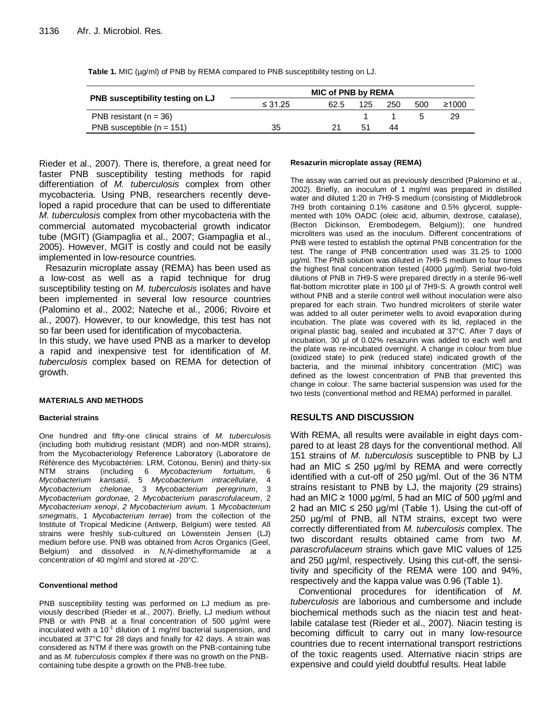| <b>PNB</b> susceptibility testing on LJ | <b>MIC of PNB by REMA</b> |      |     |     |     |       |
|-----------------------------------------|---------------------------|------|-----|-----|-----|-------|
|                                         | $\leq 31.25$              | 62.5 | 125 | 250 | 500 | ≥1000 |
| PNB resistant $(n = 36)$                |                           |      |     |     | h   | 29    |
| PNB susceptible $(n = 151)$             | 35                        |      | 51  | 44  |     |       |

**Table 1.** MIC ( $\mu$ g/ml) of PNB by REMA compared to PNB susceptibility testing on LJ.

Rieder et al., 2007). There is, therefore, a great need for faster PNB susceptibility testing methods for rapid differentiation of *M. tuberculosis* complex from other mycobacteria. Using PNB, researchers recently developed a rapid procedure that can be used to differentiate *M. tuberculosis* complex from other mycobacteria with the commercial automated mycobacterial growth indicator tube (MGIT) (Giampaglia et al., 2007; Giampaglia et al., 2005). However, MGIT is costly and could not be easily implemented in low-resource countries.

Resazurin microplate assay (REMA) has been used as a low-cost as well as a rapid technique for drug susceptibility testing on *M. tuberculosis* isolates and have been implemented in several low resource countries (Palomino et al., 2002; Nateche et al., 2006; Rivoire et al., 2007). However, to our knowledge, this test has not so far been used for identification of mycobacteria.

In this study, we have used PNB as a marker to develop a rapid and inexpensive test for identification of *M. tuberculosis* complex based on REMA for detection of growth.

#### **MATERIALS AND METHODS**

#### **Bacterial strains**

One hundred and fifty-one clinical strains of *M. tuberculosis* (including both multidrug resistant (MDR) and non-MDR strains), from the Mycobacteriology Reference Laboratory (Laboratoire de Référence des Mycobactéries: LRM, Cotonou, Benin) and thirty-six NTM strains (including 6 *Mycobacterium fortuitum*, 6 *Mycobacterium kansasii,* 5 *Mycobacterium intracellulare,* 4 *Mycobacterium chelonae*, 3 *Mycobacterium peregrinum*, 3 *Mycobacterium gordonae,* 2 *Mycobacterium parascrofulaceum*, 2 *Mycobacterium xenopi*, *2 Mycobacterium avium,* 1 *Mycobacterium smegmatis*, 1 *Mycobacterium terrae*) from the collection of the Institute of Tropical Medicine (Antwerp, Belgium) were tested. All strains were freshly sub-cultured on Löwenstein Jensen (LJ) medium before use. PNB was obtained from Acros Organics (Geel, Belgium) and dissolved in *N,N-*dimethylformamide at a concentration of 40 mg/ml and stored at -20°C.

#### **Conventional method**

PNB susceptibility testing was performed on LJ medium as previously described (Rieder et al., 2007). Briefly, LJ medium without PNB or with PNB at a final concentration of 500 µg/ml were inoculated with a  $10^{-1}$  dilution of 1 mg/ml bacterial suspension, and incubated at 37°C for 28 days and finally for 42 days. A strain was considered as NTM if there was growth on the PNB-containing tube and as *M. tuberculosis* complex if there was no growth on the PNBcontaining tube despite a growth on the PNB-free tube.

#### **Resazurin microplate assay (REMA)**

The assay was carried out as previously described (Palomino et al., 2002). Briefly, an inoculum of 1 mg/ml was prepared in distilled water and diluted 1:20 in 7H9-S medium (consisting of Middlebrook 7H9 broth containing 0.1% casitone and 0.5% glycerol, supplemented with 10% OADC (oleic acid, albumin, dextrose, catalase), (Becton Dickinson, Erembodegem, Belgium)); one hundred microliters was used as the inoculum. Different concentrations of PNB were tested to establish the optimal PNB concentration for the test. The range of PNB concentration used was 31.25 to 1000 µg/ml. The PNB solution was diluted in 7H9-S medium to four times the highest final concentration tested (4000 µg/ml). Serial two-fold dilutions of PNB in 7H9-S were prepared directly in a sterile 96-well flat-bottom microtiter plate in 100 µl of 7H9-S. A growth control well without PNB and a sterile control well without inoculation were also prepared for each strain. Two hundred microliters of sterile water was added to all outer perimeter wells to avoid evaporation during incubation. The plate was covered with its lid, replaced in the original plastic bag, sealed and incubated at 37°C. After 7 days of incubation, 30 µl of 0.02% resazurin was added to each well and the plate was re-incubated overnight. A change in colour from blue (oxidized state) to pink (reduced state) indicated growth of the bacteria, and the minimal inhibitory concentration (MIC) was defined as the lowest concentration of PNB that prevented this change in colour. The same bacterial suspension was used for the two tests (conventional method and REMA) performed in parallel.

## **RESULTS AND DISCUSSION**

With REMA, all results were available in eight days compared to at least 28 days for the conventional method. All 151 strains of *M. tuberculosis* susceptible to PNB by LJ had an MIC  $\leq$  250 µg/ml by REMA and were correctly identified with a cut-off of 250 µg/ml. Out of the 36 NTM strains resistant to PNB by LJ, the majority (29 strains) had an MIC  $\geq$  1000 µg/ml, 5 had an MIC of 500 µg/ml and 2 had an MIC ≤ 250 µg/ml (Table 1). Using the cut-off of 250 µg/ml of PNB, all NTM strains, except two were correctly differentiated from *M. tuberculosis* complex. The two discordant results obtained came from two *M. parascrofulaceum* strains which gave MIC values of 125 and 250 µg/ml, respectively. Using this cut-off, the sensitivity and specificity of the REMA were 100 and 94%, respectively and the kappa value was 0.96 (Table 1).

Conventional procedures for identification of *M. tuberculosis* are laborious and cumbersome and include biochemical methods such as the niacin test and heatlabile catalase test (Rieder et al., 2007). Niacin testing is becoming difficult to carry out in many low-resource countries due to recent international transport restrictions of the toxic reagents used. Alternative niacin strips are expensive and could yield doubtful results. Heat labile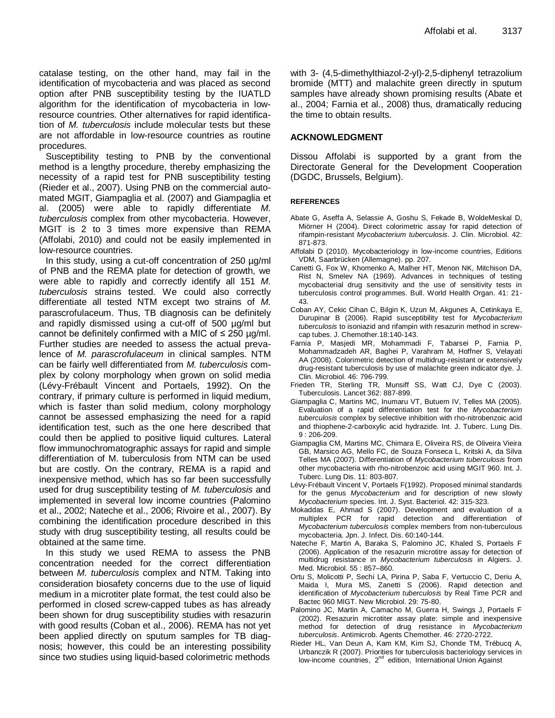catalase testing, on the other hand, may fail in the identification of mycobacteria and was placed as second option after PNB susceptibility testing by the IUATLD algorithm for the identification of mycobacteria in lowresource countries. Other alternatives for rapid identification of *M. tuberculosis* include molecular tests but these are not affordable in low-resource countries as routine procedures.

Susceptibility testing to PNB by the conventional method is a lengthy procedure, thereby emphasizing the necessity of a rapid test for PNB susceptibility testing (Rieder et al., 2007). Using PNB on the commercial automated MGIT, Giampaglia et al. (2007) and Giampaglia et al. (2005) were able to rapidly differentiate *M. tuberculosis* complex from other mycobacteria. However, MGIT is 2 to 3 times more expensive than REMA (Affolabi, 2010) and could not be easily implemented in low-resource countries.

In this study, using a cut-off concentration of 250 µg/ml of PNB and the REMA plate for detection of growth, we were able to rapidly and correctly identify all 151 *M. tuberculosis* strains tested. We could also correctly differentiate all tested NTM except two strains of *M.*  parascrofulaceum. Thus, TB diagnosis can be definitely and rapidly dismissed using a cut-off of 500 µg/ml but cannot be definitely confirmed with a MIC of  $\leq$  250 µg/ml. Further studies are needed to assess the actual prevalence of *M. parascrofulaceum* in clinical samples. NTM can be fairly well differentiated from *M. tuberculosis* complex by colony morphology when grown on solid media (Lévy-Frébault Vincent and Portaels, 1992). On the contrary, if primary culture is performed in liquid medium, which is faster than solid medium, colony morphology cannot be assessed emphasizing the need for a rapid identification test, such as the one here described that could then be applied to positive liquid cultures. Lateral flow immunochromatographic assays for rapid and simple differentiation of M. tuberculosis from NTM can be used but are costly. On the contrary, REMA is a rapid and inexpensive method, which has so far been successfully used for drug susceptibility testing of *M. tuberculosis* and implemented in several low income countries (Palomino et al., 2002; Nateche et al., 2006; Rivoire et al., 2007). By combining the identification procedure described in this study with drug susceptibility testing, all results could be obtained at the same time.

In this study we used REMA to assess the PNB concentration needed for the correct differentiation between *M. tuberculosis* complex and NTM. Taking into consideration biosafety concerns due to the use of liquid medium in a microtiter plate format, the test could also be performed in closed screw-capped tubes as has already been shown for drug susceptibility studies with resazurin with good results (Coban et al., 2006). REMA has not yet been applied directly on sputum samples for TB diagnosis; however, this could be an interesting possibility since two studies using liquid-based colorimetric methods

with 3- (4,5-dimethylthiazol-2-yl)-2,5-diphenyl tetrazolium bromide (MTT) and malachite green directly in sputum samples have already shown promising results (Abate et al., 2004; Farnia et al., 2008) thus, dramatically reducing the time to obtain results.

### **ACKNOWLEDGMENT**

Dissou Affolabi is supported by a grant from the Directorate General for the Development Cooperation (DGDC, Brussels, Belgium).

#### **REFERENCES**

- Abate G, Aseffa A, Selassie A, Goshu S, Fekade B, WoldeMeskal D, Miörner H (2004). Direct colorimetric assay for rapid detection of rifampin-resistant *Mycobacterium tuberculosis*. J. Clin. Microbiol. 42: 871-873.
- Affolabi D (2010). Mycobacteriology in low-income countries, Editions VDM, Saarbrücken (Allemagne). pp. 207.
- Canetti G, Fox W, Khomenko A, Malher HT, Menon NK, Mitchison DA, Rist N, Smelev NA (1969). Advances in techniques of testing mycobacterial drug sensitivity and the use of sensitivity tests in tuberculosis control programmes. Bull. World Health Organ. 41: 21- 43.
- Coban AY, Cekic Cihan C, Bilgin K, Uzun M, Akgunes A, Cetinkaya E, Durupinar B (2006). Rapid susceptibility test for *Mycobacterium tuberculosis* to isoniazid and rifampin with resazurin method in screwcap tubes. J. Chemother.18:140-143.
- Farnia P, Masjedi MR, Mohammadi F, Tabarsei P, Farnia P, Mohammadzadeh AR, Baghei P, Varahram M, Hoffner S, Velayati AA (2008). Colorimetric detection of multidrug-resistant or extensively drug-resistant tuberculosis by use of malachite green indicator dye. J. Clin. Microbiol. 46: 796-799.
- Frieden TR, Sterling TR, Munsiff SS, Watt CJ, Dye C (2003). Tuberculosis. Lancet 362: 887-899.
- Giampaglia C, Martins MC, Inumaru VT, Butuem IV, Telles MA (2005). Evaluation of a rapid differentiation test for the *Mycobacterium tuberculosis* complex by selective inhibition with rho-nitrobenzoic acid and thiophene-2-carboxylic acid hydrazide. Int. J. Tuberc. Lung Dis. 9 : 206-209.
- Giampaglia CM, Martins MC, Chimara E, Oliveira RS, de Oliveira Vieira GB, Marsico AG, Mello FC, de Souza Fonseca L, Kritski A, da Silva Telles MA (2007). Differentiation of *Mycobacterium tuberculosis* from other mycobacteria with rho-nitrobenzoic acid using MGIT 960. Int. J. Tuberc. Lung Dis. 11: 803-807.
- Lévy-Frébault Vincent V, Portaels F(1992). Proposed minimal standards for the genus *Mycobacterium* and for description of new slowly *Mycobacterium* species. Int. J. Syst. Bacteriol. 42: 315-323.
- Mokaddas E, Ahmad S (2007). Development and evaluation of a multiplex PCR for rapid detection and differentiation of *Mycobacterium tuberculosis* complex members from non-tuberculous mycobacteria. Jpn. J. Infect. Dis. 60:140-144.
- Nateche F, Martin A, Baraka S, Palomino JC, Khaled S, Portaels F (2006). Application of the resazurin microtitre assay for detection of multidrug resistance in *Mycobacterium tuberculosis* in Algiers. J. Med. Microbiol. 55 : 857–860.
- Ortu S, Molicotti P, Sechi LA, Pirina P, Saba F, Vertuccio C, Deriu A, Maida I, Mura MS, Zanetti S (2006). Rapid detection and identification of *Mycobacterium tuberculosis* by Real Time PCR and Bactec 960 MIGT. New Microbiol. 29: 75-80.
- Palomino JC, Martin A, Camacho M, Guerra H, Swings J, Portaels F (2002). Resazurin microtiter assay plate: simple and inexpensive method for detection of drug resistance in *Mycobacterium tuberculosis*. Antimicrob. Agents Chemother. 46: 2720-2722.
- Rieder HL, Van Deun A, Kam KM, Kim SJ, Chonde TM, Trébucq A, Urbanczik R (2007). Priorities for tuberculosis bacteriology services in low-income countries, 2<sup>nd</sup> edition, International Union Against